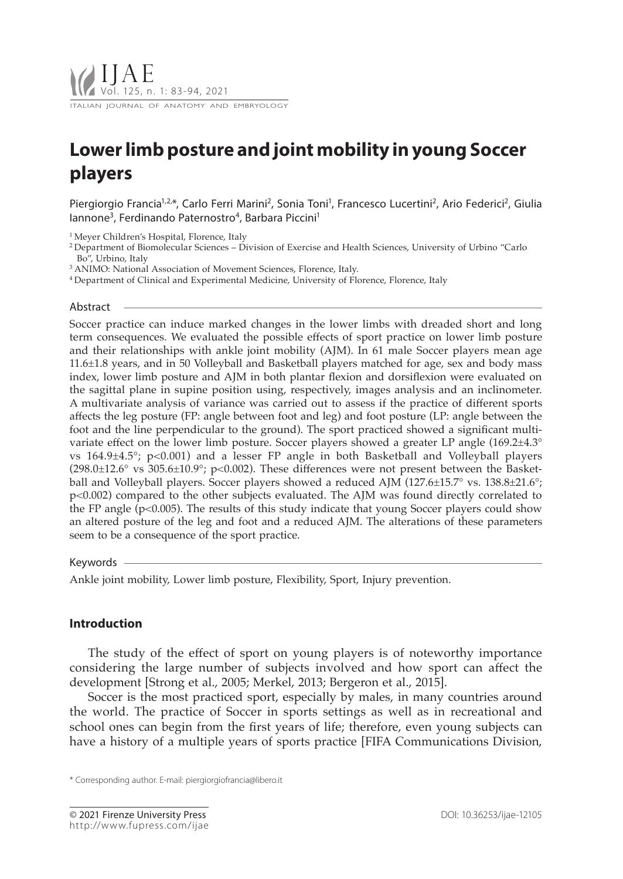# **Lower limb posture and joint mobility in young Soccer players**

Piergiorgio Francia<sup>1,2,\*</sup>, Carlo Ferri Marini<sup>2</sup>, Sonia Toni<sup>1</sup>, Francesco Lucertini<sup>2</sup>, Ario Federici<sup>2</sup>, Giulia lannone<sup>3</sup>, Ferdinando Paternostro<sup>4</sup>, Barbara Piccini<sup>1</sup>

<sup>1</sup> Meyer Children's Hospital, Florence, Italy

- 2 Department of Biomolecular Sciences Division of Exercise and Health Sciences, University of Urbino "Carlo Bo", Urbino, Italy
- 3 ANIMO: National Association of Movement Sciences, Florence, Italy.

4 Department of Clinical and Experimental Medicine, University of Florence, Florence, Italy

#### Abstract

Soccer practice can induce marked changes in the lower limbs with dreaded short and long term consequences. We evaluated the possible effects of sport practice on lower limb posture and their relationships with ankle joint mobility (AJM). In 61 male Soccer players mean age 11.6±1.8 years, and in 50 Volleyball and Basketball players matched for age, sex and body mass index, lower limb posture and AJM in both plantar flexion and dorsiflexion were evaluated on the sagittal plane in supine position using, respectively, images analysis and an inclinometer. A multivariate analysis of variance was carried out to assess if the practice of different sports affects the leg posture (FP: angle between foot and leg) and foot posture (LP: angle between the foot and the line perpendicular to the ground). The sport practiced showed a significant multivariate effect on the lower limb posture. Soccer players showed a greater LP angle (169.2 $\pm$ 4.3° vs 164.9±4.5°; p<0.001) and a lesser FP angle in both Basketball and Volleyball players (298.0±12.6° vs 305.6±10.9°; p<0.002). These differences were not present between the Basketball and Volleyball players. Soccer players showed a reduced AJM (127.6±15.7° vs. 138.8±21.6°; p<0.002) compared to the other subjects evaluated. The AJM was found directly correlated to the FP angle ( $p<0.005$ ). The results of this study indicate that young Soccer players could show an altered posture of the leg and foot and a reduced AJM. The alterations of these parameters seem to be a consequence of the sport practice.

Keywords

Ankle joint mobility, Lower limb posture, Flexibility, Sport, Injury prevention.

# **Introduction**

The study of the effect of sport on young players is of noteworthy importance considering the large number of subjects involved and how sport can affect the development [Strong et al., 2005; Merkel, 2013; Bergeron et al., 2015].

Soccer is the most practiced sport, especially by males, in many countries around the world. The practice of Soccer in sports settings as well as in recreational and school ones can begin from the first years of life; therefore, even young subjects can have a history of a multiple years of sports practice [FIFA Communications Division,

<sup>\*</sup> Corresponding author. E-mail: piergiorgiofrancia@libero.it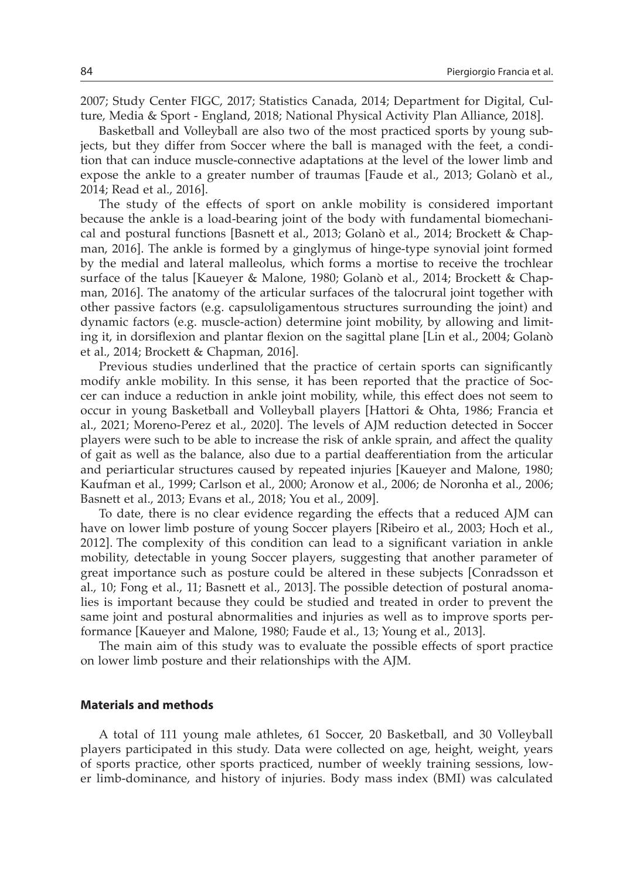2007; Study Center FIGC, 2017; Statistics Canada, 2014; Department for Digital, Culture, Media & Sport - England, 2018; National Physical Activity Plan Alliance, 2018].

Basketball and Volleyball are also two of the most practiced sports by young subjects, but they differ from Soccer where the ball is managed with the feet, a condition that can induce muscle-connective adaptations at the level of the lower limb and expose the ankle to a greater number of traumas [Faude et al., 2013; Golanò et al., 2014; Read et al., 2016].

The study of the effects of sport on ankle mobility is considered important because the ankle is a load-bearing joint of the body with fundamental biomechanical and postural functions [Basnett et al., 2013; Golanò et al., 2014; Brockett & Chapman, 2016]. The ankle is formed by a ginglymus of hinge-type synovial joint formed by the medial and lateral malleolus, which forms a mortise to receive the trochlear surface of the talus [Kaueyer & Malone, 1980; Golanò et al., 2014; Brockett & Chapman, 2016]. The anatomy of the articular surfaces of the talocrural joint together with other passive factors (e.g. capsuloligamentous structures surrounding the joint) and dynamic factors (e.g. muscle-action) determine joint mobility, by allowing and limiting it, in dorsiflexion and plantar flexion on the sagittal plane [Lin et al., 2004; Golanò et al., 2014; Brockett & Chapman, 2016].

Previous studies underlined that the practice of certain sports can significantly modify ankle mobility. In this sense, it has been reported that the practice of Soccer can induce a reduction in ankle joint mobility, while, this effect does not seem to occur in young Basketball and Volleyball players [Hattori & Ohta, 1986; Francia et al., 2021; Moreno-Perez et al., 2020]. The levels of AJM reduction detected in Soccer players were such to be able to increase the risk of ankle sprain, and affect the quality of gait as well as the balance, also due to a partial deafferentiation from the articular and periarticular structures caused by repeated injuries [Kaueyer and Malone, 1980; Kaufman et al., 1999; Carlson et al., 2000; Aronow et al., 2006; de Noronha et al., 2006; Basnett et al., 2013; Evans et al., 2018; You et al., 2009].

To date, there is no clear evidence regarding the effects that a reduced AJM can have on lower limb posture of young Soccer players [Ribeiro et al., 2003; Hoch et al., 2012]. The complexity of this condition can lead to a significant variation in ankle mobility, detectable in young Soccer players, suggesting that another parameter of great importance such as posture could be altered in these subjects [Conradsson et al., 10; Fong et al., 11; Basnett et al., 2013]. The possible detection of postural anomalies is important because they could be studied and treated in order to prevent the same joint and postural abnormalities and injuries as well as to improve sports performance [Kaueyer and Malone, 1980; Faude et al., 13; Young et al., 2013].

The main aim of this study was to evaluate the possible effects of sport practice on lower limb posture and their relationships with the AJM.

### **Materials and methods**

A total of 111 young male athletes, 61 Soccer, 20 Basketball, and 30 Volleyball players participated in this study. Data were collected on age, height, weight, years of sports practice, other sports practiced, number of weekly training sessions, lower limb-dominance, and history of injuries. Body mass index (BMI) was calculated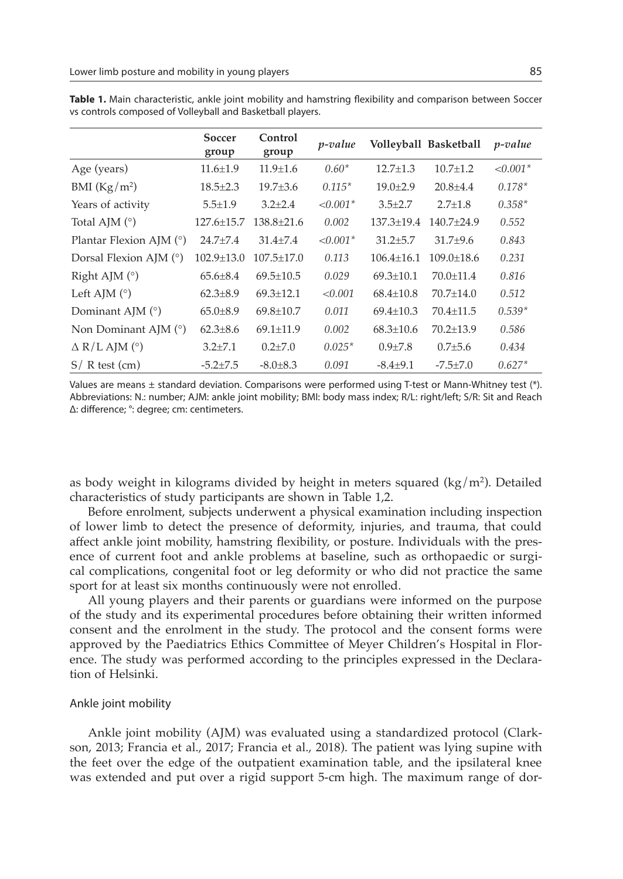|                           | Soccer<br>group  | Control<br>group | <i>p</i> -value |                 | Volleyball Basketball | <i>p</i> -value |
|---------------------------|------------------|------------------|-----------------|-----------------|-----------------------|-----------------|
| Age (years)               | $11.6 \pm 1.9$   | $11.9 \pm 1.6$   | $0.60*$         | $12.7 \pm 1.3$  | $10.7 + 1.2$          | $< 0.001*$      |
| BMI $(Kg/m2)$             | $18.5 \pm 2.3$   | $19.7 \pm 3.6$   | $0.115*$        | $19.0 \pm 2.9$  | $20.8 + 4.4$          | $0.178*$        |
| Years of activity         | $5.5 \pm 1.9$    | $3.2 \pm 2.4$    | $< 0.001*$      | $3.5 \pm 2.7$   | $2.7 + 1.8$           | $0.358*$        |
| Total AJM $(°)$           | $127.6 \pm 15.7$ | $138.8 + 21.6$   | 0.002           | 137.3±19.4      | $140.7+24.9$          | 0.552           |
| Plantar Flexion AJM $(°)$ | $24.7 + 7.4$     | $31.4 + 7.4$     | $< 0.001*$      | $31.2 + 5.7$    | $31.7 + 9.6$          | 0.843           |
| Dorsal Flexion AJM (°)    | $102.9 + 13.0$   | $107.5 + 17.0$   | 0.113           | $106.4 + 16.1$  | $109.0 + 18.6$        | 0.231           |
| Right AJM $(°)$           | $65.6 \pm 8.4$   | $69.5 \pm 10.5$  | 0.029           | $69.3 + 10.1$   | $70.0 + 11.4$         | 0.816           |
| Left AJM $(°)$            | $62.3 \pm 8.9$   | $69.3 \pm 12.1$  | < 0.001         | $68.4 \pm 10.8$ | $70.7 + 14.0$         | 0.512           |
| Dominant AJM $(°)$        | $65.0 \pm 8.9$   | $69.8 \pm 10.7$  | 0.011           | $69.4 \pm 10.3$ | $70.4 \pm 11.5$       | $0.539*$        |
| Non Dominant AJM $(°)$    | $62.3 \pm 8.6$   | $69.1 + 11.9$    | 0.002           | $68.3 + 10.6$   | $70.2 + 13.9$         | 0.586           |
| $\Delta$ R/L AJM (°)      | $3.2 \pm 7.1$    | $0.2{\pm}7.0$    | $0.025*$        | $0.9{\pm}7.8$   | $0.7{\pm}5.6$         | 0.434           |
| $S/R$ test (cm)           | $-5.2 \pm 7.5$   | $-8.0 \pm 8.3$   | 0.091           | $-8.4 + 9.1$    | $-7.5 + 7.0$          | $0.627*$        |

**Table 1.** Main characteristic, ankle joint mobility and hamstring flexibility and comparison between Soccer vs controls composed of Volleyball and Basketball players.

Values are means ± standard deviation. Comparisons were performed using T-test or Mann-Whitney test (\*). Abbreviations: N.: number; AJM: ankle joint mobility; BMI: body mass index; R/L: right/left; S/R: Sit and Reach Δ: difference; °: degree; cm: centimeters.

as body weight in kilograms divided by height in meters squared  $(kg/m<sup>2</sup>)$ . Detailed characteristics of study participants are shown in Table 1,2.

Before enrolment, subjects underwent a physical examination including inspection of lower limb to detect the presence of deformity, injuries, and trauma, that could affect ankle joint mobility, hamstring flexibility, or posture. Individuals with the presence of current foot and ankle problems at baseline, such as orthopaedic or surgical complications, congenital foot or leg deformity or who did not practice the same sport for at least six months continuously were not enrolled.

All young players and their parents or guardians were informed on the purpose of the study and its experimental procedures before obtaining their written informed consent and the enrolment in the study. The protocol and the consent forms were approved by the Paediatrics Ethics Committee of Meyer Children's Hospital in Florence. The study was performed according to the principles expressed in the Declaration of Helsinki.

#### Ankle joint mobility

Ankle joint mobility (AJM) was evaluated using a standardized protocol (Clarkson, 2013; Francia et al., 2017; Francia et al., 2018). The patient was lying supine with the feet over the edge of the outpatient examination table, and the ipsilateral knee was extended and put over a rigid support 5-cm high. The maximum range of dor-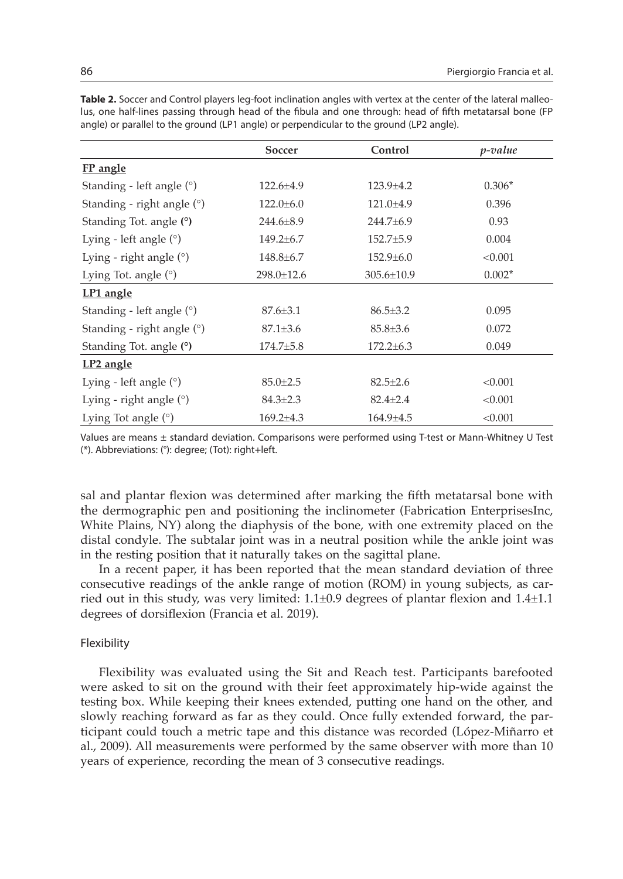|                              | Soccer          | Control         | <i>p</i> -value |  |
|------------------------------|-----------------|-----------------|-----------------|--|
| <b>FP</b> angle              |                 |                 |                 |  |
| Standing - left angle $(°)$  | $122.6 \pm 4.9$ | $123.9 \pm 4.2$ | $0.306*$        |  |
| Standing - right angle $(°)$ | $122.0 \pm 6.0$ | $121.0 \pm 4.9$ | 0.396           |  |
| Standing Tot. angle (°)      | $244.6 \pm 8.9$ | 244.7±6.9       | 0.93            |  |
| Lying - left angle $(°)$     | $149.2 \pm 6.7$ | $152.7 \pm 5.9$ | 0.004           |  |
| Lying - right angle $(°)$    | $148.8 \pm 6.7$ | $152.9 \pm 6.0$ | < 0.001         |  |
| Lying Tot. angle $(°)$       | 298.0±12.6      | 305.6±10.9      | $0.002*$        |  |
| LP1 angle                    |                 |                 |                 |  |
| Standing - left angle (°)    | $87.6 \pm 3.1$  | $86.5 \pm 3.2$  | 0.095           |  |
| Standing - right angle (°)   | $87.1 \pm 3.6$  | 85.8±3.6        | 0.072           |  |
| Standing Tot. angle (°)      | $174.7 + 5.8$   | $172.2 \pm 6.3$ | 0.049           |  |
| LP <sub>2</sub> angle        |                 |                 |                 |  |
| Lying - left angle $(°)$     | $85.0 \pm 2.5$  | $82.5 \pm 2.6$  | < 0.001         |  |
| Lying - right angle $(°)$    | $84.3 \pm 2.3$  | $82.4 \pm 2.4$  | < 0.001         |  |
| Lying Tot angle $(°)$        | 169.2±4.3       | $164.9 \pm 4.5$ | < 0.001         |  |

**Table 2.** Soccer and Control players leg-foot inclination angles with vertex at the center of the lateral malleolus, one half-lines passing through head of the fibula and one through: head of fifth metatarsal bone (FP angle) or parallel to the ground (LP1 angle) or perpendicular to the ground (LP2 angle).

Values are means ± standard deviation. Comparisons were performed using T-test or Mann-Whitney U Test (\*). Abbreviations: (°): degree; (Tot): right+left.

sal and plantar flexion was determined after marking the fifth metatarsal bone with the dermographic pen and positioning the inclinometer (Fabrication EnterprisesInc, White Plains, NY) along the diaphysis of the bone, with one extremity placed on the distal condyle. The subtalar joint was in a neutral position while the ankle joint was in the resting position that it naturally takes on the sagittal plane.

In a recent paper, it has been reported that the mean standard deviation of three consecutive readings of the ankle range of motion (ROM) in young subjects, as carried out in this study, was very limited: 1.1±0.9 degrees of plantar flexion and 1.4±1.1 degrees of dorsiflexion (Francia et al. 2019).

# Flexibility

Flexibility was evaluated using the Sit and Reach test. Participants barefooted were asked to sit on the ground with their feet approximately hip-wide against the testing box. While keeping their knees extended, putting one hand on the other, and slowly reaching forward as far as they could. Once fully extended forward, the participant could touch a metric tape and this distance was recorded (López-Miñarro et al., 2009). All measurements were performed by the same observer with more than 10 years of experience, recording the mean of 3 consecutive readings.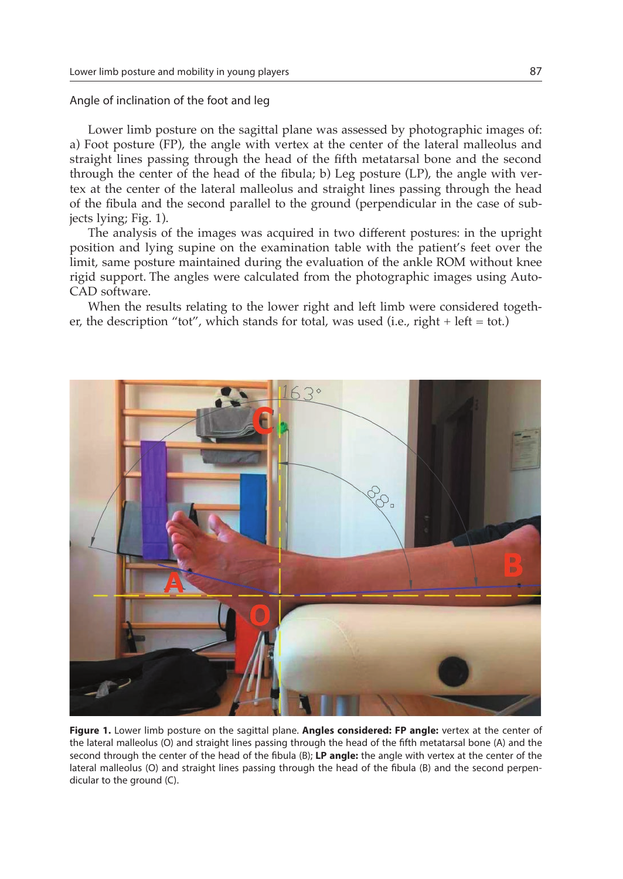### Angle of inclination of the foot and leg

Lower limb posture on the sagittal plane was assessed by photographic images of: a) Foot posture (FP), the angle with vertex at the center of the lateral malleolus and straight lines passing through the head of the fifth metatarsal bone and the second through the center of the head of the fibula; b) Leg posture (LP), the angle with vertex at the center of the lateral malleolus and straight lines passing through the head of the fibula and the second parallel to the ground (perpendicular in the case of subjects lying; Fig. 1).

The analysis of the images was acquired in two different postures: in the upright position and lying supine on the examination table with the patient's feet over the limit, same posture maintained during the evaluation of the ankle ROM without knee rigid support. The angles were calculated from the photographic images using Auto-CAD software.

When the results relating to the lower right and left limb were considered together, the description "tot", which stands for total, was used (i.e., right  $+$  left = tot.)



**Figure 1.** Lower limb posture on the sagittal plane. **Angles considered: FP angle:** vertex at the center of the lateral malleolus (O) and straight lines passing through the head of the fifth metatarsal bone (A) and the second through the center of the head of the fibula (B); **LP angle:** the angle with vertex at the center of the lateral malleolus (O) and straight lines passing through the head of the fibula (B) and the second perpendicular to the ground (C).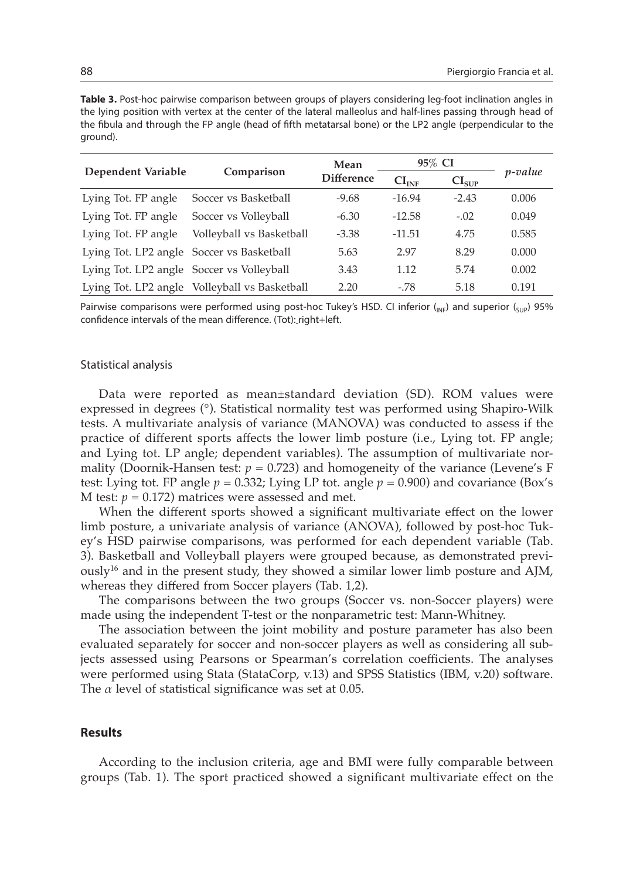**Table 3.** Post-hoc pairwise comparison between groups of players considering leg-foot inclination angles in the lying position with vertex at the center of the lateral malleolus and half-lines passing through head of the fibula and through the FP angle (head of fifth metatarsal bone) or the LP2 angle (perpendicular to the ground).

|                                           |                                               | Mean              | 95% CI            |                   |                 |
|-------------------------------------------|-----------------------------------------------|-------------------|-------------------|-------------------|-----------------|
| Dependent Variable                        | Comparison                                    | <b>Difference</b> | CI <sub>INF</sub> | CI <sub>SUP</sub> | <i>p</i> -value |
| Lying Tot. FP angle                       | Soccer vs Basketball                          | $-9.68$           | $-16.94$          | $-2.43$           | 0.006           |
| Lying Tot. FP angle                       | Soccer vs Volleyball                          | $-6.30$           | $-12.58$          | $-.02$            | 0.049           |
| Lying Tot. FP angle                       | Volleyball vs Basketball                      | $-3.38$           | $-11.51$          | 4.75              | 0.585           |
| Lying Tot. LP2 angle Soccer vs Basketball |                                               | 5.63              | 2.97              | 8.29              | 0.000           |
| Lying Tot. LP2 angle Soccer vs Volleyball |                                               | 3.43              | 1.12              | 5.74              | 0.002           |
|                                           | Lying Tot. LP2 angle Volleyball vs Basketball | 2.20              | $-.78$            | 5.18              | 0.191           |

Pairwise comparisons were performed using post-hoc Tukey's HSD. CI inferior ( $_{NF}$ ) and superior ( $_{SUP}$ ) 95% confidence intervals of the mean difference. (Tot): right+left.

#### Statistical analysis

Data were reported as mean±standard deviation (SD). ROM values were expressed in degrees (°). Statistical normality test was performed using Shapiro-Wilk tests. A multivariate analysis of variance (MANOVA) was conducted to assess if the practice of different sports affects the lower limb posture (i.e., Lying tot. FP angle; and Lying tot. LP angle; dependent variables). The assumption of multivariate normality (Doornik-Hansen test:  $p = 0.723$ ) and homogeneity of the variance (Levene's F test: Lying tot. FP angle  $p = 0.332$ ; Lying LP tot. angle  $p = 0.900$ ) and covariance (Box's M test:  $p = 0.172$ ) matrices were assessed and met.

When the different sports showed a significant multivariate effect on the lower limb posture, a univariate analysis of variance (ANOVA), followed by post-hoc Tukey's HSD pairwise comparisons, was performed for each dependent variable (Tab. 3). Basketball and Volleyball players were grouped because, as demonstrated previously<sup>16</sup> and in the present study, they showed a similar lower limb posture and AJM, whereas they differed from Soccer players (Tab. 1,2).

The comparisons between the two groups (Soccer vs. non-Soccer players) were made using the independent T-test or the nonparametric test: Mann-Whitney.

The association between the joint mobility and posture parameter has also been evaluated separately for soccer and non-soccer players as well as considering all subjects assessed using Pearsons or Spearman's correlation coefficients. The analyses were performed using Stata (StataCorp, v.13) and SPSS Statistics (IBM, v.20) software. The *α* level of statistical significance was set at 0.05.

# **Results**

According to the inclusion criteria, age and BMI were fully comparable between groups (Tab. 1). The sport practiced showed a significant multivariate effect on the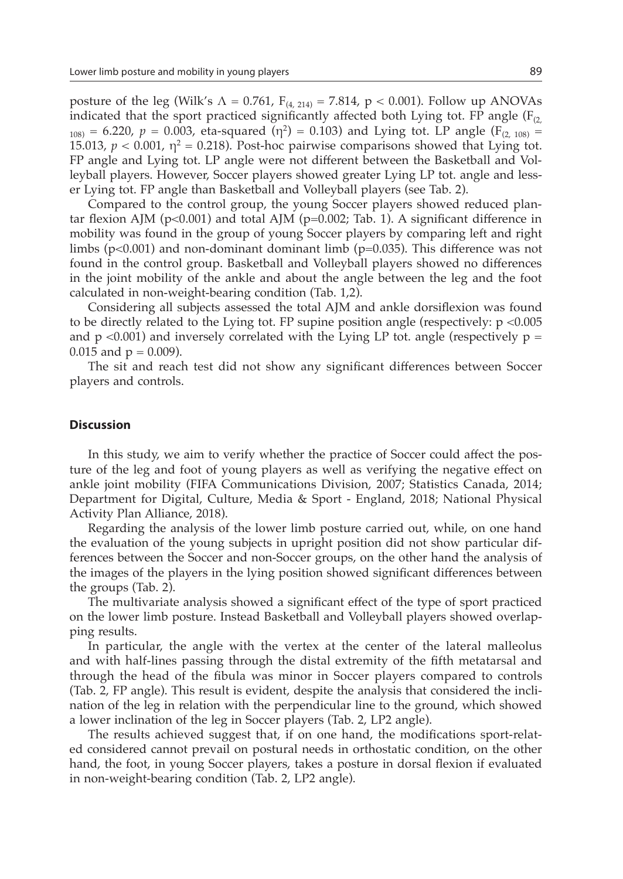posture of the leg (Wilk's  $\Lambda = 0.761$ ,  $F_{(4, 214)} = 7.814$ , p < 0.001). Follow up ANOVAs indicated that the sport practiced significantly affected both Lying tot. FP angle  $(F<sub>(2)</sub>,$  $1_{108}$  = 6.220, *p* = 0.003, eta-squared (η<sup>2</sup>) = 0.103) and Lying tot. LP angle (F<sub>(2, 108)</sub> = 15.013,  $p < 0.001$ ,  $\eta^2 = 0.218$ ). Post-hoc pairwise comparisons showed that Lying tot. FP angle and Lying tot. LP angle were not different between the Basketball and Volleyball players. However, Soccer players showed greater Lying LP tot. angle and lesser Lying tot. FP angle than Basketball and Volleyball players (see Tab. 2).

Compared to the control group, the young Soccer players showed reduced plantar flexion AJM ( $p<0.001$ ) and total AJM ( $p=0.002$ ; Tab. 1). A significant difference in mobility was found in the group of young Soccer players by comparing left and right limbs ( $p<0.001$ ) and non-dominant dominant limb ( $p=0.035$ ). This difference was not found in the control group. Basketball and Volleyball players showed no differences in the joint mobility of the ankle and about the angle between the leg and the foot calculated in non-weight-bearing condition (Tab. 1,2).

Considering all subjects assessed the total AJM and ankle dorsiflexion was found to be directly related to the Lying tot. FP supine position angle (respectively: p <0.005 and  $p \le 0.001$ ) and inversely correlated with the Lying LP tot. angle (respectively  $p =$ 0.015 and  $p = 0.009$ ).

The sit and reach test did not show any significant differences between Soccer players and controls.

## **Discussion**

In this study, we aim to verify whether the practice of Soccer could affect the posture of the leg and foot of young players as well as verifying the negative effect on ankle joint mobility (FIFA Communications Division, 2007; Statistics Canada, 2014; Department for Digital, Culture, Media & Sport - England, 2018; National Physical Activity Plan Alliance, 2018).

Regarding the analysis of the lower limb posture carried out, while, on one hand the evaluation of the young subjects in upright position did not show particular differences between the Soccer and non-Soccer groups, on the other hand the analysis of the images of the players in the lying position showed significant differences between the groups (Tab. 2).

The multivariate analysis showed a significant effect of the type of sport practiced on the lower limb posture. Instead Basketball and Volleyball players showed overlapping results.

In particular, the angle with the vertex at the center of the lateral malleolus and with half-lines passing through the distal extremity of the fifth metatarsal and through the head of the fibula was minor in Soccer players compared to controls (Tab. 2, FP angle). This result is evident, despite the analysis that considered the inclination of the leg in relation with the perpendicular line to the ground, which showed a lower inclination of the leg in Soccer players (Tab. 2, LP2 angle).

The results achieved suggest that, if on one hand, the modifications sport-related considered cannot prevail on postural needs in orthostatic condition, on the other hand, the foot, in young Soccer players, takes a posture in dorsal flexion if evaluated in non-weight-bearing condition (Tab. 2, LP2 angle).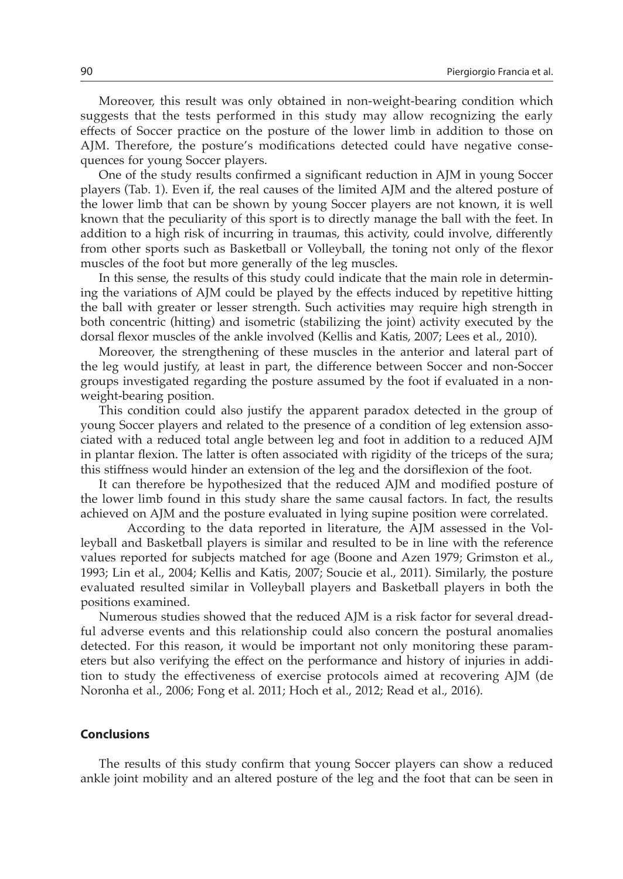Moreover, this result was only obtained in non-weight-bearing condition which suggests that the tests performed in this study may allow recognizing the early effects of Soccer practice on the posture of the lower limb in addition to those on AJM. Therefore, the posture's modifications detected could have negative consequences for young Soccer players.

One of the study results confirmed a significant reduction in AJM in young Soccer players (Tab. 1). Even if, the real causes of the limited AJM and the altered posture of the lower limb that can be shown by young Soccer players are not known, it is well known that the peculiarity of this sport is to directly manage the ball with the feet. In addition to a high risk of incurring in traumas, this activity, could involve, differently from other sports such as Basketball or Volleyball, the toning not only of the flexor muscles of the foot but more generally of the leg muscles.

In this sense, the results of this study could indicate that the main role in determining the variations of AJM could be played by the effects induced by repetitive hitting the ball with greater or lesser strength. Such activities may require high strength in both concentric (hitting) and isometric (stabilizing the joint) activity executed by the dorsal flexor muscles of the ankle involved (Kellis and Katis, 2007; Lees et al., 2010).

Moreover, the strengthening of these muscles in the anterior and lateral part of the leg would justify, at least in part, the difference between Soccer and non-Soccer groups investigated regarding the posture assumed by the foot if evaluated in a nonweight-bearing position.

This condition could also justify the apparent paradox detected in the group of young Soccer players and related to the presence of a condition of leg extension associated with a reduced total angle between leg and foot in addition to a reduced AJM in plantar flexion. The latter is often associated with rigidity of the triceps of the sura; this stiffness would hinder an extension of the leg and the dorsiflexion of the foot.

It can therefore be hypothesized that the reduced AJM and modified posture of the lower limb found in this study share the same causal factors. In fact, the results achieved on AJM and the posture evaluated in lying supine position were correlated.

According to the data reported in literature, the AJM assessed in the Volleyball and Basketball players is similar and resulted to be in line with the reference values reported for subjects matched for age (Boone and Azen 1979; Grimston et al., 1993; Lin et al., 2004; Kellis and Katis, 2007; Soucie et al., 2011). Similarly, the posture evaluated resulted similar in Volleyball players and Basketball players in both the positions examined.

Numerous studies showed that the reduced AJM is a risk factor for several dreadful adverse events and this relationship could also concern the postural anomalies detected. For this reason, it would be important not only monitoring these parameters but also verifying the effect on the performance and history of injuries in addition to study the effectiveness of exercise protocols aimed at recovering AJM (de Noronha et al., 2006; Fong et al. 2011; Hoch et al., 2012; Read et al., 2016).

# **Conclusions**

The results of this study confirm that young Soccer players can show a reduced ankle joint mobility and an altered posture of the leg and the foot that can be seen in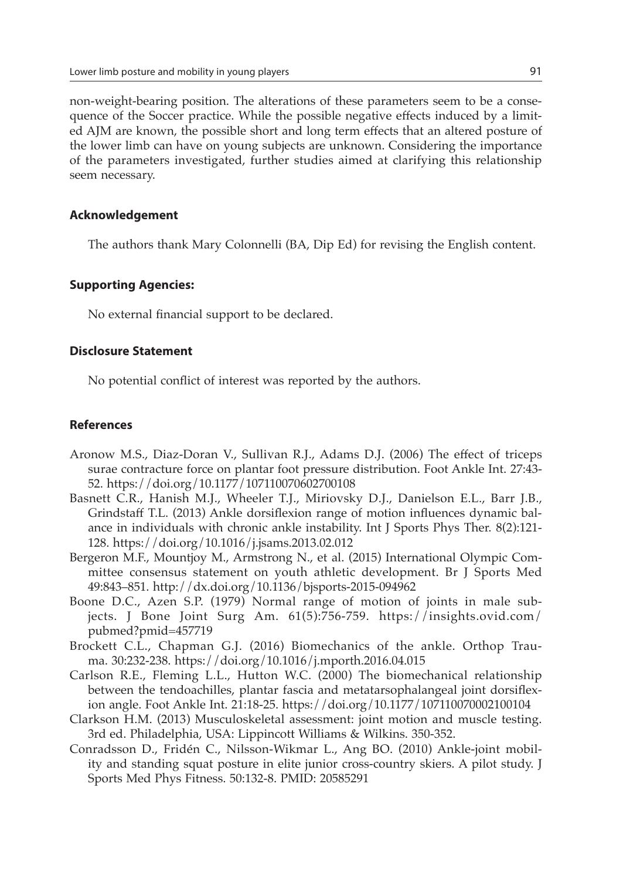non-weight-bearing position. The alterations of these parameters seem to be a consequence of the Soccer practice. While the possible negative effects induced by a limited AJM are known, the possible short and long term effects that an altered posture of the lower limb can have on young subjects are unknown. Considering the importance of the parameters investigated, further studies aimed at clarifying this relationship seem necessary.

## **Acknowledgement**

The authors thank Mary Colonnelli (BA, Dip Ed) for revising the English content.

#### **Supporting Agencies:**

No external financial support to be declared.

# **Disclosure Statement**

No potential conflict of interest was reported by the authors.

## **References**

- Aronow M.S., Diaz-Doran V., Sullivan R.J., Adams D.J. (2006) The effect of triceps surae contracture force on plantar foot pressure distribution. Foot Ankle Int. 27:43- 52. https://doi.org/10.1177/107110070602700108
- Basnett C.R., Hanish M.J., Wheeler T.J., Miriovsky D.J., Danielson E.L., Barr J.B., Grindstaff T.L. (2013) Ankle dorsiflexion range of motion influences dynamic balance in individuals with chronic ankle instability. Int J Sports Phys Ther. 8(2):121- 128. https://doi.org/10.1016/j.jsams.2013.02.012
- Bergeron M.F., Mountjoy M., Armstrong N., et al. (2015) International Olympic Committee consensus statement on youth athletic development. Br J Sports Med 49:843–851. http://dx.doi.org/10.1136/bjsports-2015-094962
- Boone D.C., Azen S.P. (1979) Normal range of motion of joints in male subjects. J Bone Joint Surg Am. 61(5):756-759. https://insights.ovid.com/ pubmed?pmid=457719
- Brockett C.L., Chapman G.J. (2016) Biomechanics of the ankle. Orthop Trauma. 30:232-238. https://doi.org/10.1016/j.mporth.2016.04.015
- Carlson R.E., Fleming L.L., Hutton W.C. (2000) The biomechanical relationship between the tendoachilles, plantar fascia and metatarsophalangeal joint dorsiflexion angle. Foot Ankle Int. 21:18-25. https://doi.org/10.1177/107110070002100104
- Clarkson H.M. (2013) Musculoskeletal assessment: joint motion and muscle testing. 3rd ed. Philadelphia, USA: Lippincott Williams & Wilkins. 350-352.
- Conradsson D., Fridén C., Nilsson-Wikmar L., Ang BO. (2010) Ankle-joint mobility and standing squat posture in elite junior cross-country skiers. A pilot study. J Sports Med Phys Fitness. 50:132-8. PMID: 20585291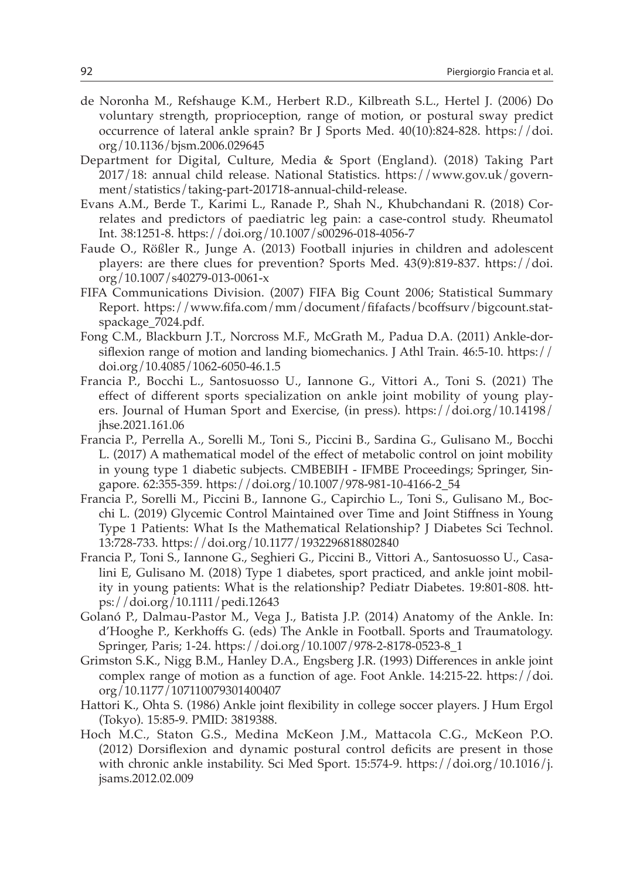- de Noronha M., Refshauge K.M., Herbert R.D., Kilbreath S.L., Hertel J. (2006) Do voluntary strength, proprioception, range of motion, or postural sway predict occurrence of lateral ankle sprain? Br J Sports Med. 40(10):824-828. https://doi. org/10.1136/bjsm.2006.029645
- Department for Digital, Culture, Media & Sport (England). (2018) Taking Part 2017/18: annual child release. National Statistics. https://www.gov.uk/government/statistics/taking-part-201718-annual-child-release.
- Evans A.M., Berde T., Karimi L., Ranade P., Shah N., Khubchandani R. (2018) Correlates and predictors of paediatric leg pain: a case-control study. Rheumatol Int. 38:1251-8. https://doi.org/10.1007/s00296-018-4056-7
- Faude O., Rößler R., Junge A. (2013) Football injuries in children and adolescent players: are there clues for prevention? Sports Med. 43(9):819-837. https://doi. org/10.1007/s40279-013-0061-x
- FIFA Communications Division. (2007) FIFA Big Count 2006; Statistical Summary Report. https://www.fifa.com/mm/document/fifafacts/bcoffsurv/bigcount.statspackage\_7024.pdf.
- Fong C.M., Blackburn J.T., Norcross M.F., McGrath M., Padua D.A. (2011) Ankle-dorsiflexion range of motion and landing biomechanics. J Athl Train. 46:5-10. https:// doi.org/10.4085/1062-6050-46.1.5
- Francia P., Bocchi L., Santosuosso U., Iannone G., Vittori A., Toni S. (2021) The effect of different sports specialization on ankle joint mobility of young players. Journal of Human Sport and Exercise, (in press). https://doi.org/10.14198/ jhse.2021.161.06
- Francia P., Perrella A., Sorelli M., Toni S., Piccini B., Sardina G., Gulisano M., Bocchi L. (2017) A mathematical model of the effect of metabolic control on joint mobility in young type 1 diabetic subjects. CMBEBIH - IFMBE Proceedings; Springer, Singapore. 62:355-359. https://doi.org/10.1007/978-981-10-4166-2\_54
- Francia P., Sorelli M., Piccini B., Iannone G., Capirchio L., Toni S., Gulisano M., Bocchi L. (2019) Glycemic Control Maintained over Time and Joint Stiffness in Young Type 1 Patients: What Is the Mathematical Relationship? J Diabetes Sci Technol. 13:728-733. https://doi.org/10.1177/1932296818802840
- Francia P., Toni S., Iannone G., Seghieri G., Piccini B., Vittori A., Santosuosso U., Casalini E, Gulisano M. (2018) Type 1 diabetes, sport practiced, and ankle joint mobility in young patients: What is the relationship? Pediatr Diabetes. 19:801-808. https://doi.org/10.1111/pedi.12643
- Golanó P., Dalmau-Pastor M., Vega J., Batista J.P. (2014) Anatomy of the Ankle. In: d'Hooghe P., Kerkhoffs G. (eds) The Ankle in Football. Sports and Traumatology. Springer, Paris; 1-24. https://doi.org/10.1007/978-2-8178-0523-8\_1
- Grimston S.K., Nigg B.M., Hanley D.A., Engsberg J.R. (1993) Differences in ankle joint complex range of motion as a function of age. Foot Ankle. 14:215-22. https://doi. org/10.1177/107110079301400407
- Hattori K., Ohta S. (1986) Ankle joint flexibility in college soccer players. J Hum Ergol (Tokyo). 15:85-9. PMID: 3819388.
- Hoch M.C., Staton G.S., Medina McKeon J.M., Mattacola C.G., McKeon P.O. (2012) Dorsiflexion and dynamic postural control deficits are present in those with chronic ankle instability. Sci Med Sport. 15:574-9. https://doi.org/10.1016/j. jsams.2012.02.009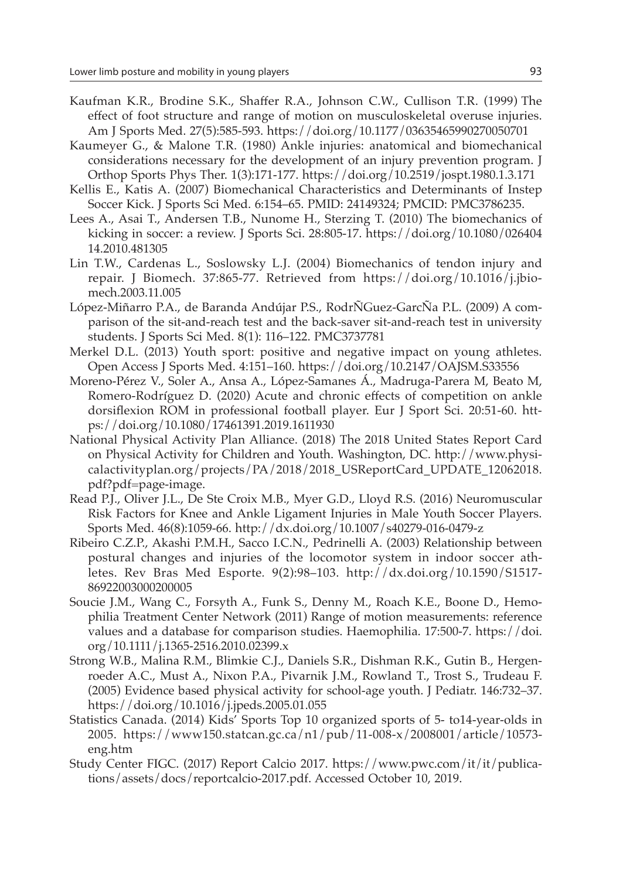- Kaufman K.R., Brodine S.K., Shaffer R.A., Johnson C.W., Cullison T.R. (1999) The effect of foot structure and range of motion on musculoskeletal overuse injuries. Am J Sports Med. 27(5):585-593. https://doi.org/10.1177/03635465990270050701
- Kaumeyer G., & Malone T.R. (1980) Ankle injuries: anatomical and biomechanical considerations necessary for the development of an injury prevention program. J Orthop Sports Phys Ther. 1(3):171-177. https://doi.org/10.2519/jospt.1980.1.3.171
- Kellis E., Katis A. (2007) Biomechanical Characteristics and Determinants of Instep Soccer Kick. J Sports Sci Med. 6:154–65. PMID: 24149324; PMCID: PMC3786235.
- Lees A., Asai T., Andersen T.B., Nunome H., Sterzing T. (2010) The biomechanics of kicking in soccer: a review. J Sports Sci. 28:805-17. https://doi.org/10.1080/026404 14.2010.481305
- Lin T.W., Cardenas L., Soslowsky L.J. (2004) Biomechanics of tendon injury and repair. J Biomech. 37:865-77. Retrieved from https://doi.org/10.1016/j.jbiomech.2003.11.005
- López-Miñarro P.A., de Baranda Andújar P.S., RodrÑGuez-GarcÑa P.L. (2009) A comparison of the sit-and-reach test and the back-saver sit-and-reach test in university students. J Sports Sci Med. 8(1): 116–122. PMC3737781
- Merkel D.L. (2013) Youth sport: positive and negative impact on young athletes. Open Access J Sports Med. 4:151–160. https://doi.org/10.2147/OAJSM.S33556
- Moreno-Pérez V., Soler A., Ansa A., López-Samanes Á., Madruga-Parera M, Beato M, Romero-Rodríguez D. (2020) Acute and chronic effects of competition on ankle dorsiflexion ROM in professional football player. Eur J Sport Sci. 20:51-60. https://doi.org/10.1080/17461391.2019.1611930
- National Physical Activity Plan Alliance. (2018) The 2018 United States Report Card on Physical Activity for Children and Youth. Washington, DC. http://www.physicalactivityplan.org/projects/PA/2018/2018\_USReportCard\_UPDATE\_12062018. pdf?pdf=page-image.
- Read P.J., Oliver J.L., De Ste Croix M.B., Myer G.D., Lloyd R.S. (2016) Neuromuscular Risk Factors for Knee and Ankle Ligament Injuries in Male Youth Soccer Players. Sports Med. 46(8):1059-66. http://dx.doi.org/10.1007/s40279-016-0479-z
- Ribeiro C.Z.P., Akashi P.M.H., Sacco I.C.N., Pedrinelli A. (2003) Relationship between postural changes and injuries of the locomotor system in indoor soccer athletes. Rev Bras Med Esporte*.* 9(2):98–103. http://dx.doi.org/10.1590/S1517- 86922003000200005
- Soucie J.M., Wang C., Forsyth A., Funk S., Denny M., Roach K.E., Boone D., Hemophilia Treatment Center Network (2011) Range of motion measurements: reference values and a database for comparison studies. Haemophilia. 17:500-7. https://doi. org/10.1111/j.1365-2516.2010.02399.x
- Strong W.B., Malina R.M., Blimkie C.J., Daniels S.R., Dishman R.K., Gutin B., Hergenroeder A.C., Must A., Nixon P.A., Pivarnik J.M., Rowland T., Trost S., Trudeau F. (2005) Evidence based physical activity for school-age youth. J Pediatr. 146:732–37. https://doi.org/10.1016/j.jpeds.2005.01.055
- Statistics Canada. (2014) Kids' Sports Top 10 organized sports of 5- to14-year-olds in 2005. https://www150.statcan.gc.ca/n1/pub/11-008-x/2008001/article/10573 eng.htm
- Study Center FIGC. (2017) Report Calcio 2017. https://www.pwc.com/it/it/publications/assets/docs/reportcalcio-2017.pdf. Accessed October 10, 2019.